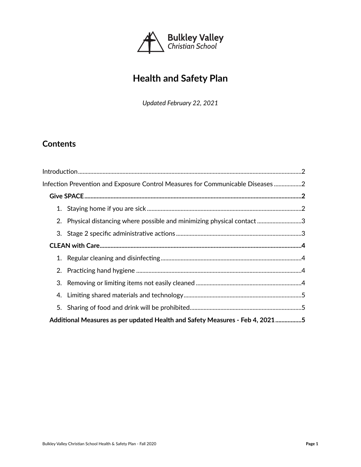

# **Health and Safety Plan**

*Updated February 22, 2021*

## **Contents**

| Infection Prevention and Exposure Control Measures for Communicable Diseases 2 |                                                                        |  |
|--------------------------------------------------------------------------------|------------------------------------------------------------------------|--|
|                                                                                |                                                                        |  |
|                                                                                |                                                                        |  |
|                                                                                | 2. Physical distancing where possible and minimizing physical contact3 |  |
|                                                                                |                                                                        |  |
|                                                                                |                                                                        |  |
|                                                                                |                                                                        |  |
|                                                                                |                                                                        |  |
|                                                                                |                                                                        |  |
|                                                                                |                                                                        |  |
|                                                                                |                                                                        |  |
| Additional Measures as per updated Health and Safety Measures - Feb 4, 20215   |                                                                        |  |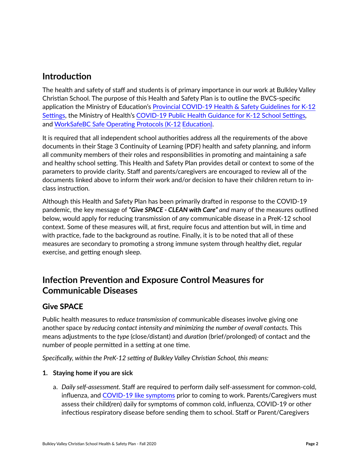## <span id="page-1-0"></span>**Introduction**

The health and safety of staff and students is of primary importance in our work at Bulkley Valley Christian School. The purpose of this Health and Safety Plan is to outline the BVCS-specific application the Ministry of Education's [Provincial COVID-19 Health & Safety Guidelines for K-12](https://www2.gov.bc.ca/assets/gov/education/administration/kindergarten-to-grade-12/safe-caring-orderly/k-12-covid-19-health-safety-guidlines.pdf)  [Settings,](https://www2.gov.bc.ca/assets/gov/education/administration/kindergarten-to-grade-12/safe-caring-orderly/k-12-covid-19-health-safety-guidlines.pdf) the Ministry of Health's [COVID-19 Public Health Guidance for K-12 School Settings](https://www2.gov.bc.ca/assets/gov/health/about-bc-s-health-care-system/office-of-the-provincial-health-officer/covid-19/covid-19_k-12_school_guidance_-_2020_may_15_-_final.pdf)*,* and [WorkSafeBC Safe Operating Protocols \(K-12](https://www.worksafebc.com/en/about-us/covid-19-updates/covid-19-returning-safe-operation/education) [Education\)](https://www.worksafebc.com/en/about-us/covid-19-updates/covid-19-returning-safe-operation/education).

It is required that all independent school authorities address all the requirements of the above documents in their [Stage 3 Continuity of Learning](https://cedars.bc.ca/wp-content/uploads/2020/05/Continuity-of-Learning-Plan-Revised-for-June-2020.pdf) [\(PDF\)](https://cedars.bc.ca/wp-content/uploads/2020/05/Continuity-of-Learning-Plan-Revised-for-June-2020.pdf) health and safety planning, and inform all community members of their roles and responsibilities in promoting and maintaining a safe and healthy school setting. This Health and Safety Plan provides detail or context to some of the parameters to provide clarity. Staff and parents/caregivers are encouraged to review all of the documents linked above to inform their work and/or decision to have their children return to inclass instruction.

Although this Health and Safety Plan has been primarily drafted in response to the COVID-19 pandemic, the key message of *"Give SPACE - CLEAN with Care" and* many of the measures outlined below, would apply for reducing transmission of *any* communicable disease in a PreK-12 school context. Some of these measures will, at first, require focus and attention but will, in time and with practice, fade to the background as routine. Finally, it is to be noted that all of these measures are secondary to promoting a strong immune system through healthy diet, regular exercise, and getting enough sleep.

## <span id="page-1-1"></span>**Infection Prevention and Exposure Control Measures for Communicable Diseases**

## <span id="page-1-2"></span>Give SPACE

Public health measures to *reduce transmission of* communicable diseases involve giving one another space by *reducing contact intensity and minimizing the number of overall contacts.* This means adjustments to the *type* (close/distant) and *duration* (brief/prolonged) of contact and the number of people permitted in a setting at one time.

*Specifically, within the PreK-12 setting of Bulkley Valley Christian School, this means:*

### <span id="page-1-3"></span>**1. Staying home if you are sick**

a. *Daily self-assessment.* Staff are required to perform daily self-assessment for common-cold, influenza, and [COVID-19 like symptoms](http://www.bccdc.ca/health-info/diseases-conditions/covid-19/about-covid-19/symptoms) prior to coming to work. Parents/Caregivers must assess their child(ren) daily for symptoms of common cold, influenza, COVID-19 or other infectious respiratory disease before sending them to school. Staff or Parent/Caregivers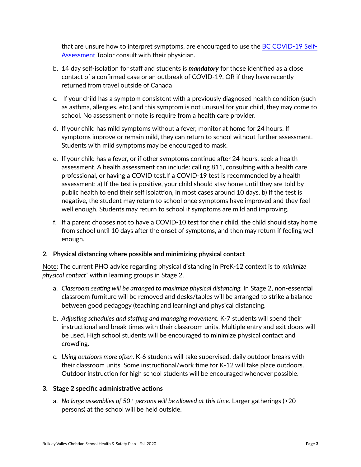that are unsure how to interpret symptoms, are encouraged to use the [BC COVID-19 Self-](https://bc.thrive.health/)[Assessment](https://bc.thrive.health/) [Tool](https://bc.thrive.health/)or consult with their physician.

- b. 14 day self-isolation for staff and students is *mandatory* for those identified as a close contact of a confirmed case or an outbreak of COVID-19, OR if they have recently returned from travel outside of Canada
- c. If your child has a symptom consistent with a previously diagnosed health condition (such as asthma, allergies, etc.) and this symptom is not unusual for your child, they may come to school. No assessment or note is require from a health care provider.
- d. If your child has mild symptoms without a fever, monitor at home for 24 hours. If symptoms improve or remain mild, they can return to school without further assessment. Students with mild symptoms may be encouraged to mask.
- e. If your child has a fever, or if other symptoms continue after 24 hours, seek a health assessment. A health assessment can include: calling 811, consulting with a health care professional, or having a COVID test.If a COVID-19 test is recommended by a health assessment: a) If the test is positive, your child should stay home until they are told by public health to end their self isolattion, in most cases around 10 days. b) If the test is negative, the student may return to school once symptoms have improved and they feel well enough. Students may return to school if symptoms are mild and improving.
- f. If a parent chooses not to have a COVID-10 test for their child, the child should stay home from school until 10 days after the onset of symptoms, and then may return if feeling well enough.

### <span id="page-2-0"></span>**2. Physical distancing where possible and minimizing physical contact**

Note: The current PHO advice regarding physical distancing in PreK-12 context is to*"minimize physical contact"* within learning groups in Stage 2.

- a. *Classroom seating will be arranged to maximize physical distancing.* In Stage 2, non-essential classroom furniture will be removed and desks/tables will be arranged to strike a balance between good pedagogy (teaching and learning) and physical distancing.
- b. *Adjusting schedules and staffing and managing movement.* K-7 students will spend their instructional and break times with their classroom units. Multiple entry and exit doors will be used. High school students will be encouraged to minimize physical contact and crowding.
- c. *Using outdoors more often.* K-6 students will take supervised, daily outdoor breaks with their classroom units. Some instructional/work time for K-12 will take place outdoors. Outdoor instruction for high school students will be encouraged whenever possible.

#### <span id="page-2-1"></span>**3. Stage 2 specific administrative actions**

a. *No large assemblies of 50+ persons will be allowed at this time*. Larger gatherings (>20 persons) at the school will be held outside.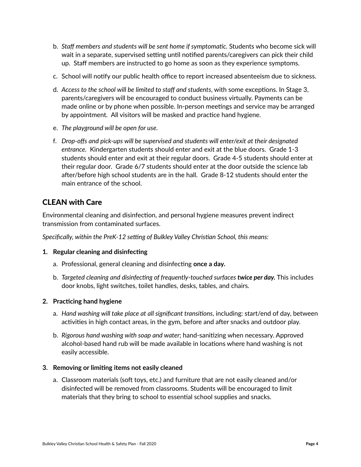- b. *Staff members and students will be sent home if symptomatic.* Students who become sick will wait in a separate, supervised setting until notified parents/caregivers can pick their child up. Staff members are instructed to go home as soon as they experience symptoms.
- c. School will notify our public health office to report increased absenteeism due to sickness.
- d. *Access to the school will be limited to staff and students*, with some exceptions. In Stage 3, parents/caregivers will be encouraged to conduct business virtually. Payments can be made online or by phone when possible. In-person meetings and service may be arranged by appointment. All visitors will be masked and practice hand hygiene.
- e. *The playground will be open for use.*
- f. *Drop-offs and pick-ups will be supervised and students will enter/exit at their designated entrance.* Kindergarten students should enter and exit at the blue doors. Grade 1-3 students should enter and exit at their regular doors. Grade 4-5 students should enter at their regular door. Grade 6/7 students should enter at the door outside the science lab after/before high school students are in the hall. Grade 8-12 students should enter the main entrance of the school.

### <span id="page-3-0"></span>CLEAN with Care

Environmental cleaning and disinfection, and personal hygiene measures prevent indirect transmission from contaminated surfaces.

*Specifically, within the PreK-12 setting of Bulkley Valley Christian School, this means:*

#### <span id="page-3-1"></span>**1. Regular cleaning and disinfecting**

- a. Professional, general cleaning and disinfecting **once a day.**
- b. *Targeted cleaning and disinfecting of frequently-touched surfaces twice per day.* This includes door knobs, light switches, toilet handles, desks, tables, and chairs.

#### <span id="page-3-2"></span>**2. Practicing hand hygiene**

- a. *Hand washing will take place at all significant transitions*, including: start/end of day, between activities in high contact areas, in the gym, before and after snacks and outdoor play.
- b. *Rigorous hand washing with soap and water*; hand-sanitizing when necessary. Approved alcohol-based hand rub will be made available in locations where hand washing is not easily accessible.

#### <span id="page-3-3"></span>**3. Removing or limiting items not easily cleaned**

a. Classroom materials (soft toys, etc.) and furniture that are not easily cleaned and/or disinfected will be removed from classrooms. Students will be encouraged to limit materials that they bring to school to essential school supplies and snacks.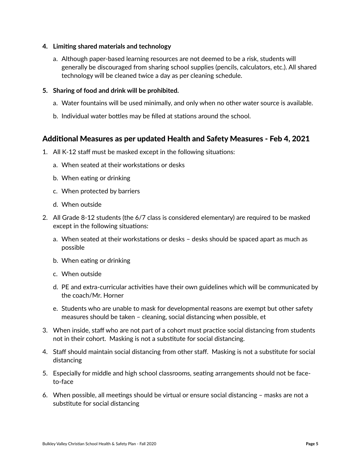- <span id="page-4-0"></span>**4. Limiting shared materials and technology**
	- a. Although paper-based learning resources are not deemed to be a risk, students will generally be discouraged from sharing school supplies (pencils, calculators, etc.). All shared technology will be cleaned twice a day as per cleaning schedule.
- <span id="page-4-1"></span>**5. Sharing of food and drink will be prohibited.**
	- a. Water fountains will be used minimally, and only when no other water source is available.
	- b. Individual water bottles may be filled at stations around the school.

### <span id="page-4-2"></span>Additional Measures as per updated Health and Safety Measures - Feb 4, 2021

- 1. All K-12 staff must be masked except in the following situations:
	- a. When seated at their workstations or desks
	- b. When eating or drinking
	- c. When protected by barriers
	- d. When outside
- 2. All Grade 8-12 students (the 6/7 class is considered elementary) are required to be masked except in the following situations:
	- a. When seated at their workstations or desks desks should be spaced apart as much as possible
	- b. When eating or drinking
	- c. When outside
	- d. PE and extra-curricular activities have their own guidelines which will be communicated by the coach/Mr. Horner
	- e. Students who are unable to mask for developmental reasons are exempt but other safety measures should be taken – cleaning, social distancing when possible, et
- 3. When inside, staff who are not part of a cohort must practice social distancing from students not in their cohort. Masking is not a substitute for social distancing.
- 4. Staff should maintain social distancing from other staff. Masking is not a substitute for social distancing
- 5. Especially for middle and high school classrooms, seating arrangements should not be faceto-face
- 6. When possible, all meetings should be virtual or ensure social distancing masks are not a substitute for social distancing